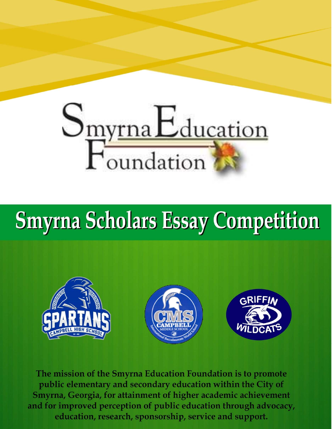

# **Smyrna Scholars Essay Competition**



The mission of the Smyrna Education Foundation is to promote public elementary and secondary education within the City of Smyrna, Georgia, for attainment of higher academic achievement and for improved perception of public education through advocacy, education, research, sponsorship, service and support.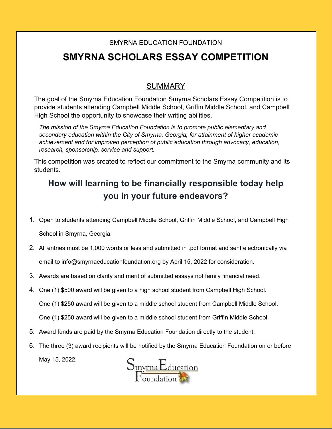#### SMYRNA EDUCATION FOUNDATION

## SMYRNA SCHOLARS ESSAY COMPETITION

### SUMMARY

The goal of the Smyrna Education Foundation Smyrna Scholars Essay Competition is to provide students attending Campbell Middle School, Griffin Middle School, and Campbell High School the opportunity to showcase their writing abilities.

The mission of the Smyrna Education Foundation is to promote public elementary and secondary education within the City of Smyrna, Georgia, for attainment of higher academic achievement and for improved perception of public education through advocacy, education, research, sponsorship, service and support.

This competition was created to reflect our commitment to the Smyrna community and its students.

## How will learning to be financially responsible today help you in your future endeavors?

- 1. Open to students attending Campbell Middle School, Griffin Middle School, and Campbell High School in Smyrna, Georgia.
- 2. All entries must be 1,000 words or less and submitted in .pdf format and sent electronically via email to info@smyrnaeducationfoundation.org by April 15, 2022 for consideration.
- 3. Awards are based on clarity and merit of submitted essays not family financial need.
- 4. One (1) \$500 award will be given to a high school student from Campbell High School.

One (1) \$250 award will be given to a middle school student from Campbell Middle School.

- One (1) \$250 award will be given to a middle school student from Griffin Middle School.
- 5. Award funds are paid by the Smyrna Education Foundation directly to the student.
- 6. The three (3) award recipients will be notified by the Smyrna Education Foundation on or before May 15, 2022.

 $S_{\frac{\text{myrna}E_{\text{ducation}}}{\text{F}_{\text{cutoff}}}$ 

Smyrna Education Foundation | P.O. Box 813550, Smyrna, GA 30081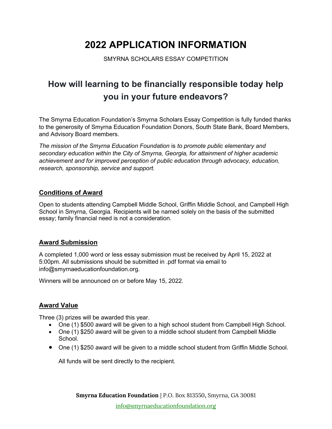## 2022 APPLICATION INFORMATION

SMYRNA SCHOLARS ESSAY COMPETITION

## How will learning to be financially responsible today help you in your future endeavors?

The Smyrna Education Foundation's Smyrna Scholars Essay Competition is fully funded thanks to the generosity of Smyrna Education Foundation Donors, South State Bank, Board Members, and Advisory Board members.

The mission of the Smyrna Education Foundation is to promote public elementary and secondary education within the City of Smyrna, Georgia, for attainment of higher academic achievement and for improved perception of public education through advocacy, education, research, sponsorship, service and support.

#### Conditions of Award

Open to students attending Campbell Middle School, Griffin Middle School, and Campbell High School in Smyrna, Georgia. Recipients will be named solely on the basis of the submitted essay; family financial need is not a consideration.

#### Award Submission

A completed 1,000 word or less essay submission must be received by April 15, 2022 at 5:00pm. All submissions should be submitted in .pdf format via email to info@smyrnaeducationfoundation.org.

Winners will be announced on or before May 15, 2022.

#### Award Value

Three (3) prizes will be awarded this year.

- One (1) \$500 award will be given to a high school student from Campbell High School.
- One (1) \$250 award will be given to a middle school student from Campbell Middle School.
- One (1) \$250 award will be given to a middle school student from Griffin Middle School.

All funds will be sent directly to the recipient.